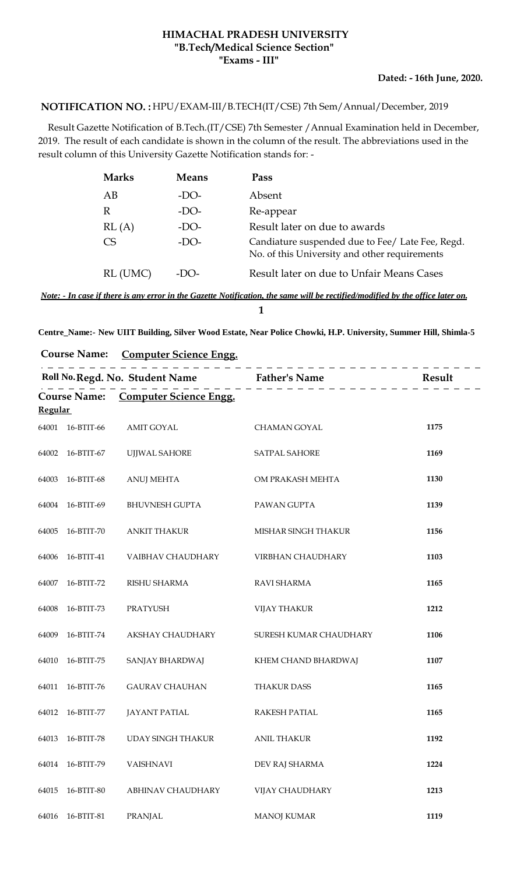## **HIMACHAL PRADESH UNIVERSITY "Exams - III" "B.Tech/Medical Science Section"**

**Dated: - 16th June, 2020.**

## HPU/EXAM-III/B.TECH(IT/CSE) 7th Sem/Annual/December, 2019 **NOTIFICATION NO. :**

 Result Gazette Notification of B.Tech.(IT/CSE) 7th Semester /Annual Examination held in December, 2019. The result of each candidate is shown in the column of the result. The abbreviations used in the result column of this University Gazette Notification stands for: -

| <b>Marks</b> | <b>Means</b> | Pass                                                                                              |
|--------------|--------------|---------------------------------------------------------------------------------------------------|
| AB           | -DO-         | Absent                                                                                            |
| R            | $-DO-$       | Re-appear                                                                                         |
| RL(A)        | $-DO-$       | Result later on due to awards                                                                     |
| CS           | -DO-         | Candiature suspended due to Fee/ Late Fee, Regd.<br>No. of this University and other requirements |
| RL (UMC)     | -LX )-       | Result later on due to Unfair Means Cases                                                         |

*Note: - In case if there is any error in the Gazette Notification, the same will be rectified/modified by the office later on.* **1**

| <b>Course Name:</b> | <b>Computer Science Engg.</b> |  |
|---------------------|-------------------------------|--|
|                     |                               |  |

| Roll No. Regd. No. Student Name Father's Name Father Mesult<br><b>Course Name:</b><br><b>Computer Science Engg.</b><br><b>Regular</b> |                  |                          |                        |      |
|---------------------------------------------------------------------------------------------------------------------------------------|------------------|--------------------------|------------------------|------|
|                                                                                                                                       |                  |                          |                        |      |
|                                                                                                                                       | 64001 16-BTIT-66 | <b>AMIT GOYAL</b>        | <b>CHAMAN GOYAL</b>    | 1175 |
|                                                                                                                                       | 64002 16-BTIT-67 | UJJWAL SAHORE            | <b>SATPAL SAHORE</b>   | 1169 |
| 64003                                                                                                                                 | 16-BTIT-68       | <b>ANUJ MEHTA</b>        | OM PRAKASH MEHTA       | 1130 |
| 64004                                                                                                                                 | 16-BTIT-69       | <b>BHUVNESH GUPTA</b>    | PAWAN GUPTA            | 1139 |
| 64005                                                                                                                                 | 16-BTIT-70       | <b>ANKIT THAKUR</b>      | MISHAR SINGH THAKUR    | 1156 |
| 64006                                                                                                                                 | 16-BTIT-41       | VAIBHAV CHAUDHARY        | VIRBHAN CHAUDHARY      | 1103 |
| 64007                                                                                                                                 | 16-BTIT-72       | RISHU SHARMA             | RAVI SHARMA            | 1165 |
| 64008                                                                                                                                 | 16-BTIT-73       | PRATYUSH                 | <b>VIJAY THAKUR</b>    | 1212 |
| 64009                                                                                                                                 | 16-BTIT-74       | AKSHAY CHAUDHARY         | SURESH KUMAR CHAUDHARY | 1106 |
| 64010                                                                                                                                 | 16-BTIT-75       | SANJAY BHARDWAJ          | KHEM CHAND BHARDWAJ    | 1107 |
| 64011                                                                                                                                 | 16-BTIT-76       | <b>GAURAV CHAUHAN</b>    | <b>THAKUR DASS</b>     | 1165 |
| 64012                                                                                                                                 | 16-BTIT-77       | <b>JAYANT PATIAL</b>     | <b>RAKESH PATIAL</b>   | 1165 |
| 64013                                                                                                                                 | 16-BTIT-78       | <b>UDAY SINGH THAKUR</b> | <b>ANIL THAKUR</b>     | 1192 |
| 64014                                                                                                                                 | 16-BTIT-79       | <b>VAISHNAVI</b>         | DEV RAJ SHARMA         | 1224 |
| 64015                                                                                                                                 | 16-BTIT-80       | ABHINAV CHAUDHARY        | VIJAY CHAUDHARY        | 1213 |
| 64016                                                                                                                                 | 16-BTIT-81       | <b>PRANJAL</b>           | <b>MANOJ KUMAR</b>     | 1119 |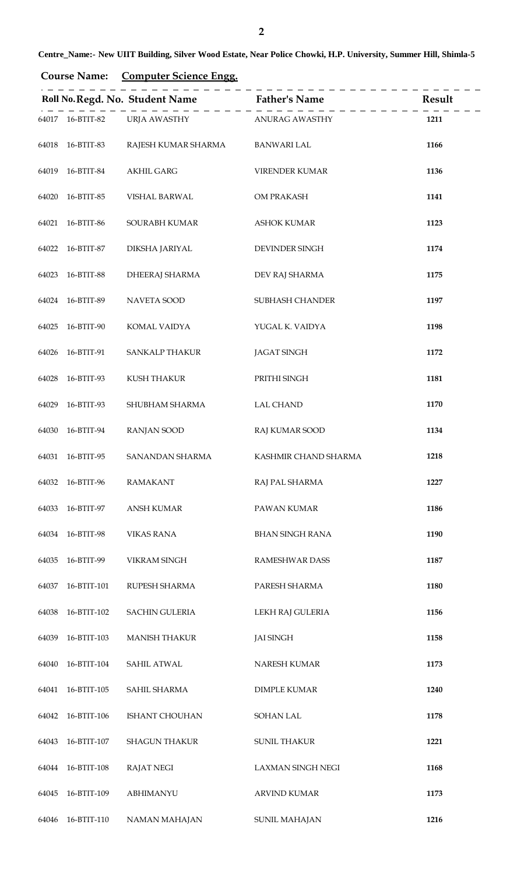| <b>Course Name:</b> | <b>Computer Science Engg.</b> |  |
|---------------------|-------------------------------|--|
|                     |                               |  |

|       |                  |                             | Roll No. Regd. No. Student Name Father's Name | Result |
|-------|------------------|-----------------------------|-----------------------------------------------|--------|
|       | 64017 16-BTIT-82 | URJA AWASTHY ANURAG AWASTHY |                                               | 1211   |
|       | 64018 16-BTIT-83 | RAJESH KUMAR SHARMA         | <b>BANWARI LAL</b>                            | 1166   |
| 64019 | 16-BTIT-84       | <b>AKHIL GARG</b>           | VIRENDER KUMAR                                | 1136   |
| 64020 | 16-BTIT-85       | VISHAL BARWAL               | OM PRAKASH                                    | 1141   |
| 64021 | 16-BTIT-86       | SOURABH KUMAR               | <b>ASHOK KUMAR</b>                            | 1123   |
|       | 64022 16-BTIT-87 | DIKSHA JARIYAL              | DEVINDER SINGH                                | 1174   |
| 64023 | 16-BTIT-88       | <b>DHEERAJ SHARMA</b>       | DEV RAJ SHARMA                                | 1175   |
|       | 64024 16-BTIT-89 | NAVETA SOOD                 | SUBHASH CHANDER                               | 1197   |
| 64025 | 16-BTIT-90       | KOMAL VAIDYA                | YUGAL K. VAIDYA                               | 1198   |
| 64026 | 16-BTIT-91       | <b>SANKALP THAKUR</b>       | <b>JAGAT SINGH</b>                            | 1172   |
| 64028 | 16-BTIT-93       | KUSH THAKUR                 | PRITHI SINGH                                  | 1181   |
| 64029 | 16-BTIT-93       | SHUBHAM SHARMA              | <b>LAL CHAND</b>                              | 1170   |
| 64030 | 16-BTIT-94       | <b>RANJAN SOOD</b>          | RAJ KUMAR SOOD                                | 1134   |
|       | 64031 16-BTIT-95 | <b>SANANDAN SHARMA</b>      | KASHMIR CHAND SHARMA                          | 1218   |
| 64032 | 16-BTIT-96       | <b>RAMAKANT</b>             | RAJ PAL SHARMA                                | 1227   |
| 64033 | 16-BTIT-97       | <b>ANSH KUMAR</b>           | PAWAN KUMAR                                   | 1186   |
| 64034 | 16-BTIT-98       | <b>VIKAS RANA</b>           | <b>BHAN SINGH RANA</b>                        | 1190   |
| 64035 | 16-BTIT-99       | <b>VIKRAM SINGH</b>         | RAMESHWAR DASS                                | 1187   |
| 64037 | 16-BTIT-101      | RUPESH SHARMA               | PARESH SHARMA                                 | 1180   |
| 64038 | 16-BTIT-102      | <b>SACHIN GULERIA</b>       | LEKH RAJ GULERIA                              | 1156   |
| 64039 | 16-BTIT-103      | <b>MANISH THAKUR</b>        | <b>JAI SINGH</b>                              | 1158   |
| 64040 | 16-BTIT-104      | SAHIL ATWAL                 | NARESH KUMAR                                  | 1173   |
| 64041 | 16-BTIT-105      | SAHIL SHARMA                | <b>DIMPLE KUMAR</b>                           | 1240   |
| 64042 | 16-BTIT-106      | ISHANT CHOUHAN              | <b>SOHAN LAL</b>                              | 1178   |
| 64043 | 16-BTIT-107      | <b>SHAGUN THAKUR</b>        | <b>SUNIL THAKUR</b>                           | 1221   |
| 64044 | 16-BTIT-108      | <b>RAJAT NEGI</b>           | <b>LAXMAN SINGH NEGI</b>                      | 1168   |
| 64045 | 16-BTIT-109      | ABHIMANYU                   | <b>ARVIND KUMAR</b>                           | 1173   |
| 64046 | 16-BTIT-110      | NAMAN MAHAJAN               | <b>SUNIL MAHAJAN</b>                          | 1216   |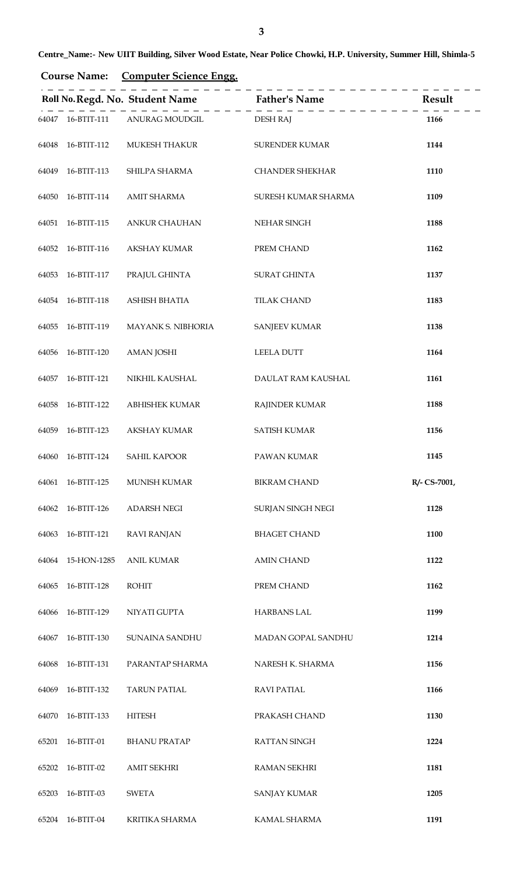| <b>Course Name:</b> | <b>Computer Science Engg.</b> |  |
|---------------------|-------------------------------|--|
|                     |                               |  |

|       |                   |                         | Roll No. Regd. No. Student Name Father's Name | Result       |
|-------|-------------------|-------------------------|-----------------------------------------------|--------------|
|       | 64047 16-BTIT-111 | ANURAG MOUDGIL DESH RAJ |                                               | 1166         |
|       | 64048 16-BTIT-112 | MUKESH THAKUR           | <b>SURENDER KUMAR</b>                         | 1144         |
| 64049 | 16-BTIT-113       | SHILPA SHARMA           | <b>CHANDER SHEKHAR</b>                        | 1110         |
|       | 64050 16-BTIT-114 | <b>AMIT SHARMA</b>      | SURESH KUMAR SHARMA                           | 1109         |
| 64051 | 16-BTIT-115       | <b>ANKUR CHAUHAN</b>    | NEHAR SINGH                                   | 1188         |
|       | 64052 16-BTIT-116 | <b>AKSHAY KUMAR</b>     | PREM CHAND                                    | 1162         |
| 64053 | 16-BTIT-117       | PRAJUL GHINTA           | <b>SURAT GHINTA</b>                           | 1137         |
|       | 64054 16-BTIT-118 | ASHISH BHATIA           | <b>TILAK CHAND</b>                            | 1183         |
| 64055 | 16-BTIT-119       | MAYANK S. NIBHORIA      | <b>SANJEEV KUMAR</b>                          | 1138         |
| 64056 | 16-BTIT-120       | <b>AMAN JOSHI</b>       | LEELA DUTT                                    | 1164         |
| 64057 | 16-BTIT-121       | NIKHIL KAUSHAL          | DAULAT RAM KAUSHAL                            | 1161         |
| 64058 | 16-BTIT-122       | <b>ABHISHEK KUMAR</b>   | <b>RAJINDER KUMAR</b>                         | 1188         |
| 64059 | 16-BTIT-123       | <b>AKSHAY KUMAR</b>     | <b>SATISH KUMAR</b>                           | 1156         |
| 64060 | 16-BTIT-124       | <b>SAHIL KAPOOR</b>     | PAWAN KUMAR                                   | 1145         |
|       | 64061 16-BTIT-125 | <b>MUNISH KUMAR</b>     | <b>BIKRAM CHAND</b>                           | R/- CS-7001, |
|       | 64062 16-BTIT-126 | <b>ADARSH NEGI</b>      | SURJAN SINGH NEGI                             | 1128         |
| 64063 | 16-BTIT-121       | <b>RAVI RANJAN</b>      | <b>BHAGET CHAND</b>                           | 1100         |
|       | 64064 15-HON-1285 | <b>ANIL KUMAR</b>       | <b>AMIN CHAND</b>                             | 1122         |
| 64065 | 16-BTIT-128       | ROHIT                   | PREM CHAND                                    | 1162         |
| 64066 | 16-BTIT-129       | NIYATI GUPTA            | <b>HARBANS LAL</b>                            | 1199         |
| 64067 | 16-BTIT-130       | SUNAINA SANDHU          | MADAN GOPAL SANDHU                            | 1214         |
| 64068 | 16-BTIT-131       | PARANTAP SHARMA         | NARESH K. SHARMA                              | 1156         |
| 64069 | 16-BTIT-132       | <b>TARUN PATIAL</b>     | <b>RAVI PATIAL</b>                            | 1166         |
| 64070 | 16-BTIT-133       | <b>HITESH</b>           | PRAKASH CHAND                                 | 1130         |
| 65201 | 16-BTIT-01        | <b>BHANU PRATAP</b>     | RATTAN SINGH                                  | 1224         |
| 65202 | 16-BTIT-02        | <b>AMIT SEKHRI</b>      | <b>RAMAN SEKHRI</b>                           | 1181         |
| 65203 | 16-BTIT-03        | SWETA                   | <b>SANJAY KUMAR</b>                           | 1205         |
| 65204 | 16-BTIT-04        | KRITIKA SHARMA          | KAMAL SHARMA                                  | 1191         |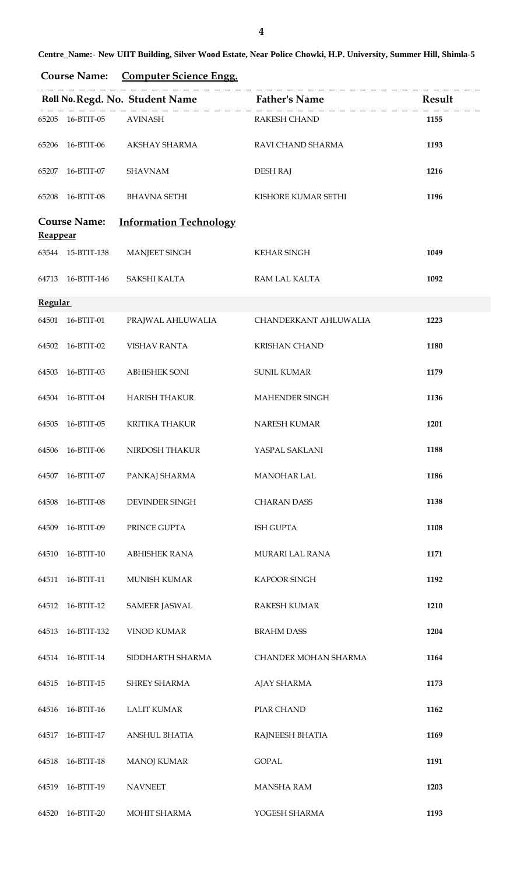| <b>Course Name:</b> | <b>Computer Science Engg.</b> |  |
|---------------------|-------------------------------|--|
|                     |                               |  |

|                 |                     |                               | Roll No. Regd. No. Student Name Father's Name | Result |
|-----------------|---------------------|-------------------------------|-----------------------------------------------|--------|
|                 | 65205 16-BTIT-05    | AVINASH                       | <b>RAKESH CHAND</b>                           | 1155   |
| 65206           | 16-BTIT-06          | AKSHAY SHARMA                 | RAVI CHAND SHARMA                             | 1193   |
| 65207           | 16-BTIT-07          | <b>SHAVNAM</b>                | <b>DESH RAJ</b>                               | 1216   |
| 65208           | 16-BTIT-08          | <b>BHAVNA SETHI</b>           | KISHORE KUMAR SETHI                           | 1196   |
| <b>Reappear</b> | <b>Course Name:</b> | <b>Information Technology</b> |                                               |        |
|                 | 63544 15-BTIT-138   | <b>MANJEET SINGH</b>          | <b>KEHAR SINGH</b>                            | 1049   |
|                 | 64713 16-BTIT-146   | SAKSHI KALTA                  | RAM LAL KALTA                                 | 1092   |
| <b>Regular</b>  |                     |                               |                                               |        |
|                 | 64501 16-BTIT-01    | PRAJWAL AHLUWALIA             | CHANDERKANT AHLUWALIA                         | 1223   |
| 64502           | 16-BTIT-02          | <b>VISHAV RANTA</b>           | <b>KRISHAN CHAND</b>                          | 1180   |
| 64503           | 16-BTIT-03          | <b>ABHISHEK SONI</b>          | <b>SUNIL KUMAR</b>                            | 1179   |
| 64504           | 16-BTIT-04          | <b>HARISH THAKUR</b>          | MAHENDER SINGH                                | 1136   |
| 64505           | 16-BTIT-05          | <b>KRITIKA THAKUR</b>         | NARESH KUMAR                                  | 1201   |
| 64506           | 16-BTIT-06          | NIRDOSH THAKUR                | YASPAL SAKLANI                                | 1188   |
| 64507           | 16-BTIT-07          | PANKAJ SHARMA                 | MANOHAR LAL                                   | 1186   |
| 64508           | 16-BTIT-08          | DEVINDER SINGH                | <b>CHARAN DASS</b>                            | 1138   |
| 64509           | 16-BTIT-09          | PRINCE GUPTA                  | ISH GUPTA                                     | 1108   |
| 64510           | 16-BTIT-10          | <b>ABHISHEK RANA</b>          | MURARI LAL RANA                               | 1171   |
| 64511           | 16-BTIT-11          | MUNISH KUMAR                  | KAPOOR SINGH                                  | 1192   |
| 64512           | 16-BTIT-12          | <b>SAMEER JASWAL</b>          | RAKESH KUMAR                                  | 1210   |
| 64513           | 16-BTIT-132         | <b>VINOD KUMAR</b>            | <b>BRAHM DASS</b>                             | 1204   |
| 64514           | 16-BTIT-14          | SIDDHARTH SHARMA              | CHANDER MOHAN SHARMA                          | 1164   |
| 64515           | 16-BTIT-15          | SHREY SHARMA                  | AJAY SHARMA                                   | 1173   |
| 64516           | 16-BTIT-16          | <b>LALIT KUMAR</b>            | PIAR CHAND                                    | 1162   |
| 64517           | 16-BTIT-17          | <b>ANSHUL BHATIA</b>          | RAJNEESH BHATIA                               | 1169   |
| 64518           | 16-BTIT-18          | <b>MANOJ KUMAR</b>            | <b>GOPAL</b>                                  | 1191   |
| 64519           | 16-BTIT-19          | <b>NAVNEET</b>                | <b>MANSHA RAM</b>                             | 1203   |
| 64520           | 16-BTIT-20          | MOHIT SHARMA                  | YOGESH SHARMA                                 | 1193   |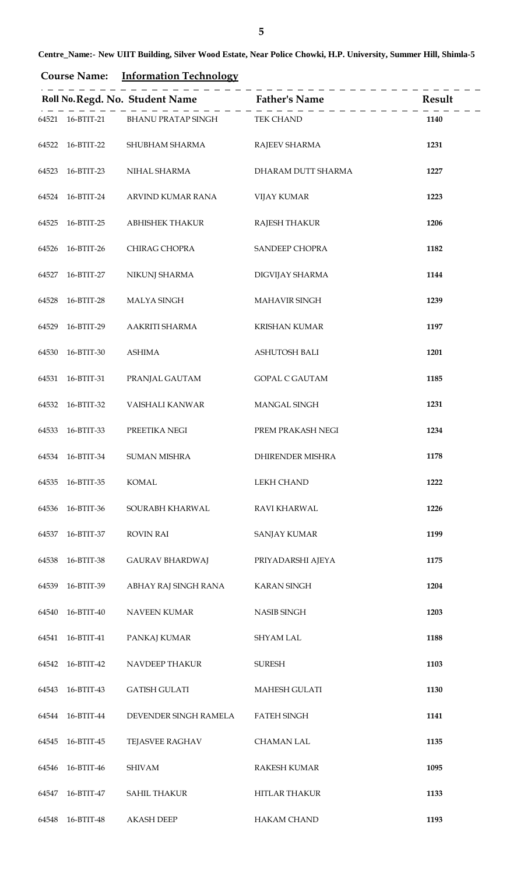| <b>Course Name:</b> | <b>Information Technology</b> |  |  |
|---------------------|-------------------------------|--|--|
|                     |                               |  |  |

|       |                  |                                               | Roll No. Regd. No. Student Name Father's Name Result |      |
|-------|------------------|-----------------------------------------------|------------------------------------------------------|------|
|       |                  | 64521 16-BTIT-21 BHANU PRATAP SINGH TEK CHAND |                                                      | 1140 |
|       | 64522 16-BTIT-22 | SHUBHAM SHARMA                                | RAJEEV SHARMA                                        | 1231 |
| 64523 | 16-BTIT-23       | NIHAL SHARMA                                  | DHARAM DUTT SHARMA                                   | 1227 |
|       | 64524 16-BTIT-24 | ARVIND KUMAR RANA                             | <b>VIJAY KUMAR</b>                                   | 1223 |
| 64525 | 16-BTIT-25       | ABHISHEK THAKUR                               | <b>RAJESH THAKUR</b>                                 | 1206 |
|       | 64526 16-BTIT-26 | CHIRAG CHOPRA                                 | SANDEEP CHOPRA                                       | 1182 |
| 64527 | 16-BTIT-27       | NIKUNJ SHARMA                                 | DIGVIJAY SHARMA                                      | 1144 |
|       | 64528 16-BTIT-28 | <b>MALYA SINGH</b>                            | MAHAVIR SINGH                                        | 1239 |
| 64529 | 16-BTIT-29       | AAKRITI SHARMA                                | <b>KRISHAN KUMAR</b>                                 | 1197 |
|       | 64530 16-BTIT-30 | <b>ASHIMA</b>                                 | <b>ASHUTOSH BALI</b>                                 | 1201 |
| 64531 | 16-BTIT-31       | PRANJAL GAUTAM                                | <b>GOPAL C GAUTAM</b>                                | 1185 |
|       | 64532 16-BTIT-32 | VAISHALI KANWAR                               | MANGAL SINGH                                         | 1231 |
| 64533 | 16-BTIT-33       | PREETIKA NEGI                                 | PREM PRAKASH NEGI                                    | 1234 |
|       | 64534 16-BTIT-34 | <b>SUMAN MISHRA</b>                           | DHIRENDER MISHRA                                     | 1178 |
| 64535 | 16-BTIT-35       | <b>KOMAL</b>                                  | LEKH CHAND                                           | 1222 |
| 64536 | 16-BTIT-36       | SOURABH KHARWAL                               | RAVI KHARWAL                                         | 1226 |
| 64537 | 16-BTIT-37       | <b>ROVIN RAI</b>                              | <b>SANJAY KUMAR</b>                                  | 1199 |
| 64538 | 16-BTIT-38       | <b>GAURAV BHARDWAJ</b>                        | PRIYADARSHI AJEYA                                    | 1175 |
| 64539 | 16-BTIT-39       | ABHAY RAJ SINGH RANA                          | <b>KARAN SINGH</b>                                   | 1204 |
| 64540 | 16-BTIT-40       | <b>NAVEEN KUMAR</b>                           | <b>NASIB SINGH</b>                                   | 1203 |
| 64541 | 16-BTIT-41       | PANKAJ KUMAR                                  | <b>SHYAM LAL</b>                                     | 1188 |
| 64542 | 16-BTIT-42       | NAVDEEP THAKUR                                | <b>SURESH</b>                                        | 1103 |
| 64543 | 16-BTIT-43       | <b>GATISH GULATI</b>                          | MAHESH GULATI                                        | 1130 |
| 64544 | 16-BTIT-44       | DEVENDER SINGH RAMELA                         | <b>FATEH SINGH</b>                                   | 1141 |
| 64545 | 16-BTIT-45       | <b>TEJASVEE RAGHAV</b>                        | <b>CHAMAN LAL</b>                                    | 1135 |
| 64546 | 16-BTIT-46       | <b>SHIVAM</b>                                 | <b>RAKESH KUMAR</b>                                  | 1095 |
| 64547 | 16-BTIT-47       | <b>SAHIL THAKUR</b>                           | <b>HITLAR THAKUR</b>                                 | 1133 |
| 64548 | 16-BTIT-48       | <b>AKASH DEEP</b>                             | <b>HAKAM CHAND</b>                                   | 1193 |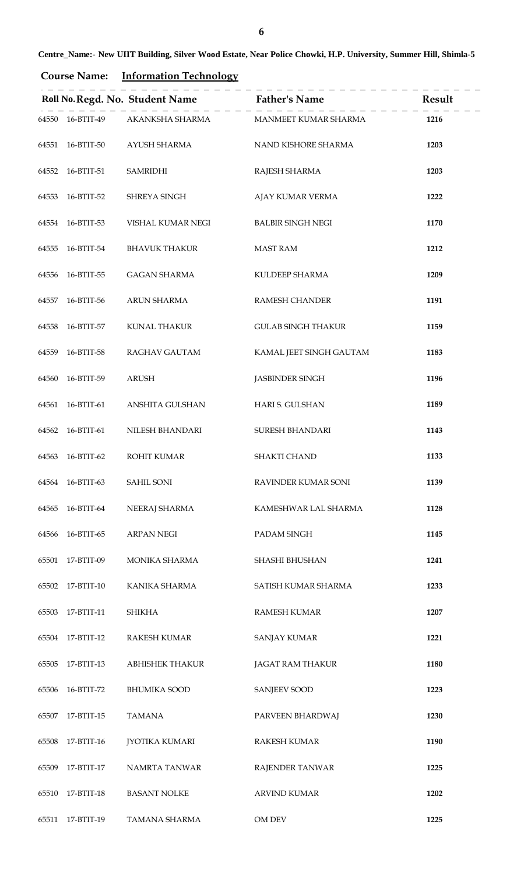| <b>Course Name:</b> | <b>Information Technology</b> |  |  |
|---------------------|-------------------------------|--|--|
|                     |                               |  |  |

|       |                  |                                                       | Roll No. Regd. No. Student Name<br>$\frac{1}{2} - \frac{1}{2} - \frac{1}{2} - \frac{1}{2} - \frac{1}{2} - \frac{1}{2} - \frac{1}{2} - \frac{1}{2} - \frac{1}{2} - \frac{1}{2} - \frac{1}{2} - \frac{1}{2} - \frac{1}{2} - \frac{1}{2} - \frac{1}{2} - \frac{1}{2} - \frac{1}{2} - \frac{1}{2} - \frac{1}{2} - \frac{1}{2} - \frac{1}{2} - \frac{1}{2} - \frac{1}{2} - \frac{1$ |      |
|-------|------------------|-------------------------------------------------------|--------------------------------------------------------------------------------------------------------------------------------------------------------------------------------------------------------------------------------------------------------------------------------------------------------------------------------------------------------------------------------|------|
|       |                  | 64550 16-BTIT-49 AKANKSHA SHARMA MANMEET KUMAR SHARMA |                                                                                                                                                                                                                                                                                                                                                                                | 1216 |
|       | 64551 16-BTIT-50 | AYUSH SHARMA                                          | NAND KISHORE SHARMA                                                                                                                                                                                                                                                                                                                                                            | 1203 |
|       | 64552 16-BTIT-51 | <b>SAMRIDHI</b>                                       | RAJESH SHARMA                                                                                                                                                                                                                                                                                                                                                                  | 1203 |
|       | 64553 16-BTIT-52 | SHREYA SINGH                                          | AJAY KUMAR VERMA                                                                                                                                                                                                                                                                                                                                                               | 1222 |
|       | 64554 16-BTIT-53 | VISHAL KUMAR NEGI                                     | <b>BALBIR SINGH NEGI</b>                                                                                                                                                                                                                                                                                                                                                       | 1170 |
|       | 64555 16-BTIT-54 | <b>BHAVUK THAKUR</b>                                  | <b>MAST RAM</b>                                                                                                                                                                                                                                                                                                                                                                | 1212 |
|       | 64556 16-BTIT-55 | <b>GAGAN SHARMA</b>                                   | KULDEEP SHARMA                                                                                                                                                                                                                                                                                                                                                                 | 1209 |
|       | 64557 16-BTIT-56 | <b>ARUN SHARMA</b>                                    | <b>RAMESH CHANDER</b>                                                                                                                                                                                                                                                                                                                                                          | 1191 |
|       | 64558 16-BTIT-57 | KUNAL THAKUR                                          | <b>GULAB SINGH THAKUR</b>                                                                                                                                                                                                                                                                                                                                                      | 1159 |
|       | 64559 16-BTIT-58 | RAGHAV GAUTAM                                         | KAMAL JEET SINGH GAUTAM                                                                                                                                                                                                                                                                                                                                                        | 1183 |
| 64560 | 16-BTIT-59       | ARUSH                                                 | <b>JASBINDER SINGH</b>                                                                                                                                                                                                                                                                                                                                                         | 1196 |
|       | 64561 16-BTIT-61 | ANSHITA GULSHAN                                       | HARI S. GULSHAN                                                                                                                                                                                                                                                                                                                                                                | 1189 |
|       | 64562 16-BTIT-61 | NILESH BHANDARI                                       | SURESH BHANDARI                                                                                                                                                                                                                                                                                                                                                                | 1143 |
|       | 64563 16-BTIT-62 | <b>ROHIT KUMAR</b>                                    | <b>SHAKTI CHAND</b>                                                                                                                                                                                                                                                                                                                                                            | 1133 |
| 64564 | 16-BTIT-63       | SAHIL SONI                                            | RAVINDER KUMAR SONI                                                                                                                                                                                                                                                                                                                                                            | 1139 |
| 64565 | 16-BTIT-64       | NEERAJ SHARMA                                         | KAMESHWAR LAL SHARMA                                                                                                                                                                                                                                                                                                                                                           | 1128 |
| 64566 | 16-BTIT-65       | <b>ARPAN NEGI</b>                                     | PADAM SINGH                                                                                                                                                                                                                                                                                                                                                                    | 1145 |
| 65501 | 17-BTIT-09       | MONIKA SHARMA                                         | SHASHI BHUSHAN                                                                                                                                                                                                                                                                                                                                                                 | 1241 |
|       | 65502 17-BTIT-10 | KANIKA SHARMA                                         | SATISH KUMAR SHARMA                                                                                                                                                                                                                                                                                                                                                            | 1233 |
| 65503 | 17-BTIT-11       | <b>SHIKHA</b>                                         | <b>RAMESH KUMAR</b>                                                                                                                                                                                                                                                                                                                                                            | 1207 |
| 65504 | 17-BTIT-12       | RAKESH KUMAR                                          | <b>SANJAY KUMAR</b>                                                                                                                                                                                                                                                                                                                                                            | 1221 |
| 65505 | 17-BTIT-13       | <b>ABHISHEK THAKUR</b>                                | <b>JAGAT RAM THAKUR</b>                                                                                                                                                                                                                                                                                                                                                        | 1180 |
| 65506 | 16-BTIT-72       | <b>BHUMIKA SOOD</b>                                   | <b>SANJEEV SOOD</b>                                                                                                                                                                                                                                                                                                                                                            | 1223 |
| 65507 | 17-BTIT-15       | <b>TAMANA</b>                                         | PARVEEN BHARDWAJ                                                                                                                                                                                                                                                                                                                                                               | 1230 |
| 65508 | 17-BTIT-16       | <b>JYOTIKA KUMARI</b>                                 | <b>RAKESH KUMAR</b>                                                                                                                                                                                                                                                                                                                                                            | 1190 |
| 65509 | 17-BTIT-17       | NAMRTA TANWAR                                         | RAJENDER TANWAR                                                                                                                                                                                                                                                                                                                                                                | 1225 |
| 65510 | 17-BTIT-18       | <b>BASANT NOLKE</b>                                   | <b>ARVIND KUMAR</b>                                                                                                                                                                                                                                                                                                                                                            | 1202 |
| 65511 | 17-BTIT-19       | TAMANA SHARMA                                         | OM DEV                                                                                                                                                                                                                                                                                                                                                                         | 1225 |